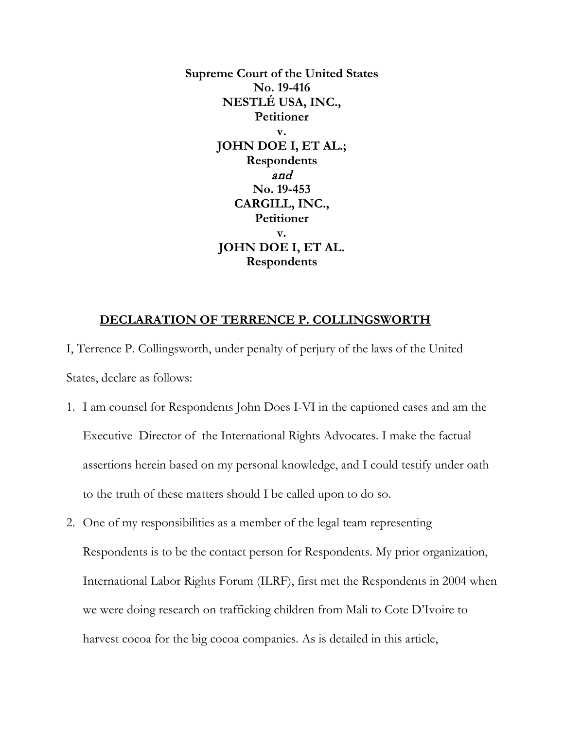**Supreme Court of the United States No. 19-416 NESTLÉ USA, INC., Petitioner v. JOHN DOE I, ET AL.; Respondents** and **No. 19-453 CARGILL, INC., Petitioner v. JOHN DOE I, ET AL. Respondents**

## **DECLARATION OF TERRENCE P. COLLINGSWORTH**

I, Terrence P. Collingsworth, under penalty of perjury of the laws of the United States, declare as follows:

- 1. I am counsel for Respondents John Does I-VI in the captioned cases and am the Executive Director of the International Rights Advocates. I make the factual assertions herein based on my personal knowledge, and I could testify under oath to the truth of these matters should I be called upon to do so.
- 2. One of my responsibilities as a member of the legal team representing Respondents is to be the contact person for Respondents. My prior organization, International Labor Rights Forum (ILRF), first met the Respondents in 2004 when we were doing research on trafficking children from Mali to Cote D'Ivoire to harvest cocoa for the big cocoa companies. As is detailed in this article,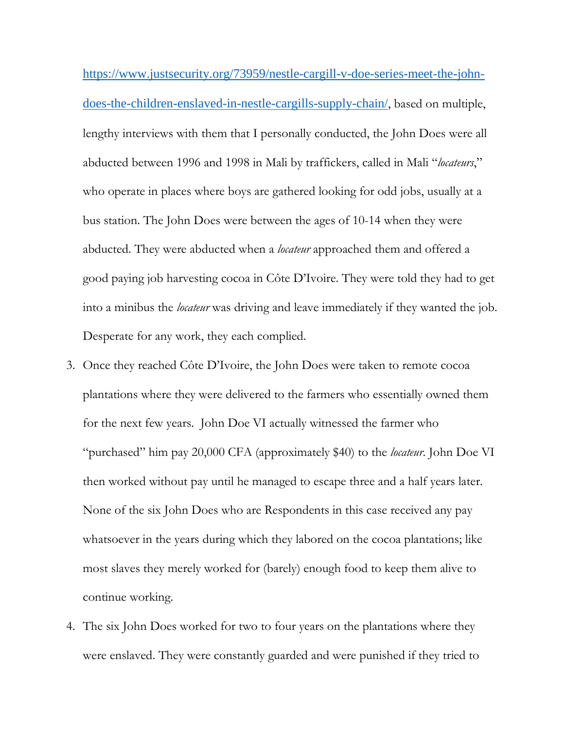[https://www.justsecurity.org/73959/nestle-cargill-v-doe-series-meet-the-john](https://www.justsecurity.org/73959/nestle-cargill-v-doe-series-meet-the-john-does-the-children-enslaved-in-nestle-cargills-supply-chain/)[does-the-children-enslaved-in-nestle-cargills-supply-chain/](https://www.justsecurity.org/73959/nestle-cargill-v-doe-series-meet-the-john-does-the-children-enslaved-in-nestle-cargills-supply-chain/), based on multiple, lengthy interviews with them that I personally conducted, the John Does were all abducted between 1996 and 1998 in Mali by traffickers, called in Mali "*locateurs*," who operate in places where boys are gathered looking for odd jobs, usually at a bus station. The John Does were between the ages of 10-14 when they were abducted. They were abducted when a *locateur* approached them and offered a good paying job harvesting cocoa in Côte D'Ivoire. They were told they had to get into a minibus the *locateur* was driving and leave immediately if they wanted the job. Desperate for any work, they each complied.

- 3. Once they reached Côte D'Ivoire, the John Does were taken to remote cocoa plantations where they were delivered to the farmers who essentially owned them for the next few years. John Doe VI actually witnessed the farmer who "purchased" him pay 20,000 CFA (approximately \$40) to the *locateur*. John Doe VI then worked without pay until he managed to escape three and a half years later. None of the six John Does who are Respondents in this case received any pay whatsoever in the years during which they labored on the cocoa plantations; like most slaves they merely worked for (barely) enough food to keep them alive to continue working.
- 4. The six John Does worked for two to four years on the plantations where they were enslaved. They were constantly guarded and were punished if they tried to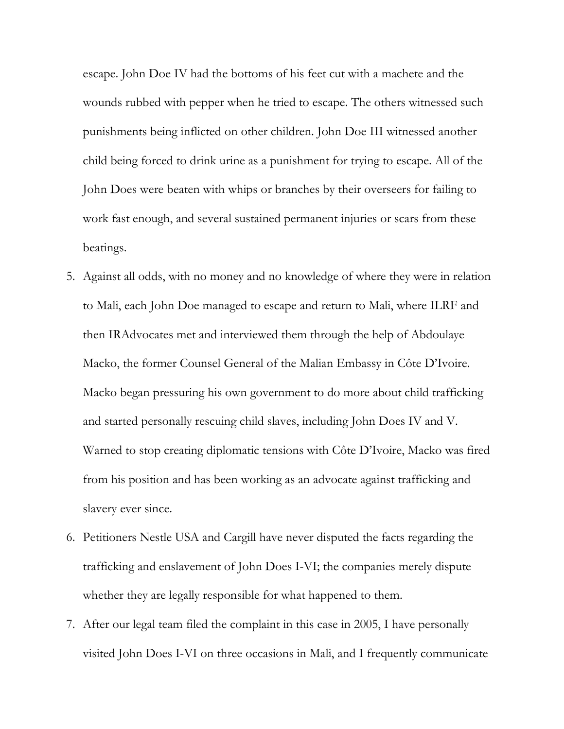escape. John Doe IV had the bottoms of his feet cut with a machete and the wounds rubbed with pepper when he tried to escape. The others witnessed such punishments being inflicted on other children. John Doe III witnessed another child being forced to drink urine as a punishment for trying to escape. All of the John Does were beaten with whips or branches by their overseers for failing to work fast enough, and several sustained permanent injuries or scars from these beatings.

- 5. Against all odds, with no money and no knowledge of where they were in relation to Mali, each John Doe managed to escape and return to Mali, where ILRF and then IRAdvocates met and interviewed them through the help of Abdoulaye Macko, the former Counsel General of the Malian Embassy in Côte D'Ivoire. Macko began pressuring his own government to do more about child trafficking and started personally rescuing child slaves, including John Does IV and V. Warned to stop creating diplomatic tensions with Côte D'Ivoire, Macko was fired from his position and has been working as an advocate against trafficking and slavery ever since.
- 6. Petitioners Nestle USA and Cargill have never disputed the facts regarding the trafficking and enslavement of John Does I-VI; the companies merely dispute whether they are legally responsible for what happened to them.
- 7. After our legal team filed the complaint in this case in 2005, I have personally visited John Does I-VI on three occasions in Mali, and I frequently communicate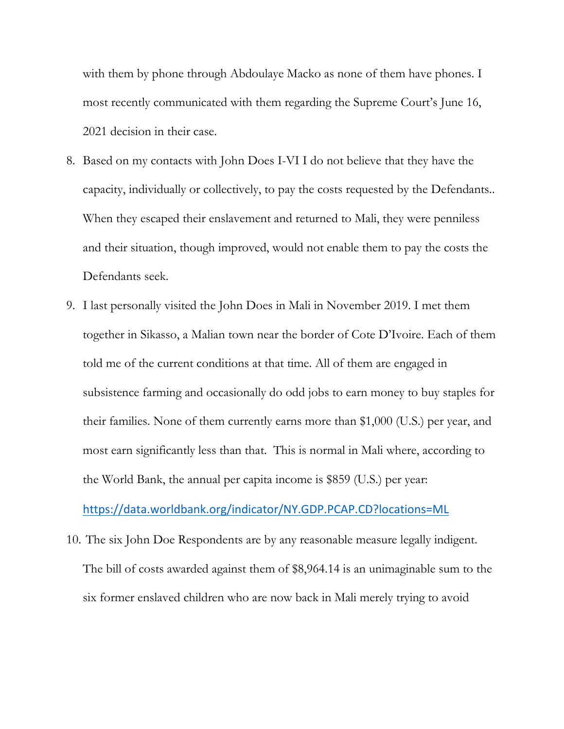with them by phone through Abdoulaye Macko as none of them have phones. I most recently communicated with them regarding the Supreme Court's June 16, 2021 decision in their case.

- 8. Based on my contacts with John Does I-VI I do not believe that they have the capacity, individually or collectively, to pay the costs requested by the Defendants.. When they escaped their enslavement and returned to Mali, they were penniless and their situation, though improved, would not enable them to pay the costs the Defendants seek.
- 9. I last personally visited the John Does in Mali in November 2019. I met them together in Sikasso, a Malian town near the border of Cote D'Ivoire. Each of them told me of the current conditions at that time. All of them are engaged in subsistence farming and occasionally do odd jobs to earn money to buy staples for their families. None of them currently earns more than \$1,000 (U.S.) per year, and most earn significantly less than that. This is normal in Mali where, according to the World Bank, the annual per capita income is \$859 (U.S.) per year:

<https://data.worldbank.org/indicator/NY.GDP.PCAP.CD?locations=ML>

10. The six John Doe Respondents are by any reasonable measure legally indigent. The bill of costs awarded against them of \$8,964.14 is an unimaginable sum to the six former enslaved children who are now back in Mali merely trying to avoid